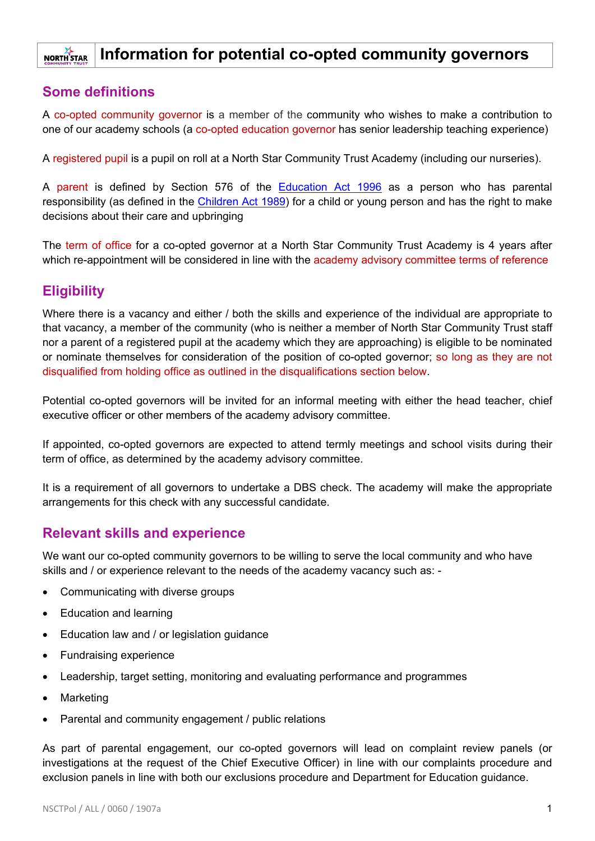#### **Information for potential co-opted community governors NORTH STAR**

#### **Some definitions**

A co-opted community governor is a member of the community who wishes to make a contribution to one of our academy schools (a co-opted education governor has senior leadership teaching experience)

A registered pupil is a pupil on roll at a North Star Community Trust Academy (including our nurseries).

A parent is defined by Section 576 of the [Education Act 1996](https://www.legislation.gov.uk/ukpga/1996/56/contents) as a person who has parental responsibility (as defined in the *Children Act 1989*) for a child or young person and has the right to make decisions about their care and upbringing

The term of office for a co-opted governor at a North Star Community Trust Academy is 4 years after which re-appointment will be considered in line with the academy advisory committee terms of reference

## **Eligibility**

Where there is a vacancy and either / both the skills and experience of the individual are appropriate to that vacancy, a member of the community (who is neither a member of North Star Community Trust staff nor a parent of a registered pupil at the academy which they are approaching) is eligible to be nominated or nominate themselves for consideration of the position of co-opted governor; so long as they are not disqualified from holding office as outlined in the disqualifications section below.

Potential co-opted governors will be invited for an informal meeting with either the head teacher, chief executive officer or other members of the academy advisory committee.

If appointed, co-opted governors are expected to attend termly meetings and school visits during their term of office, as determined by the academy advisory committee.

It is a requirement of all governors to undertake a DBS check. The academy will make the appropriate arrangements for this check with any successful candidate.

### **Relevant skills and experience**

We want our co-opted community governors to be willing to serve the local community and who have skills and / or experience relevant to the needs of the academy vacancy such as: -

- Communicating with diverse groups
- Education and learning
- Education law and / or legislation guidance
- Fundraising experience
- Leadership, target setting, monitoring and evaluating performance and programmes
- **Marketing**
- Parental and community engagement / public relations

As part of parental engagement, our co-opted governors will lead on complaint review panels (or investigations at the request of the Chief Executive Officer) in line with our complaints procedure and exclusion panels in line with both our exclusions procedure and Department for Education guidance.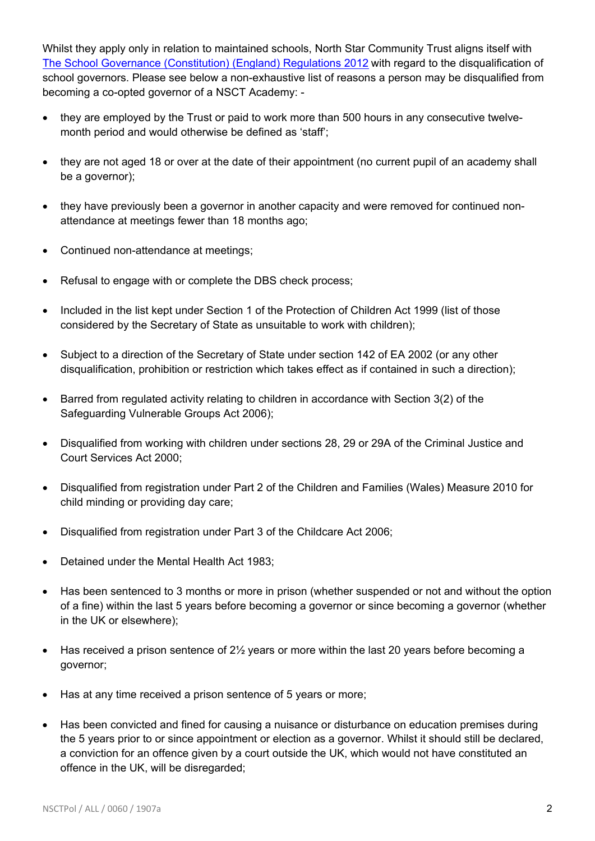Whilst they apply only in relation to maintained schools, North Star Community Trust aligns itself with [The School Governance \(Constitution\) \(England\) Regulations 2012](http://www.legislation.gov.uk/uksi/2012/1034/schedule/4/made) with regard to the disqualification of school governors. Please see below a non-exhaustive list of reasons a person may be disqualified from becoming a co-opted governor of a NSCT Academy: -

- they are employed by the Trust or paid to work more than 500 hours in any consecutive twelvemonth period and would otherwise be defined as 'staff';
- they are not aged 18 or over at the date of their appointment (no current pupil of an academy shall be a governor);
- they have previously been a governor in another capacity and were removed for continued nonattendance at meetings fewer than 18 months ago;
- Continued non-attendance at meetings;
- Refusal to engage with or complete the DBS check process;
- Included in the list kept under Section 1 of the Protection of Children Act 1999 (list of those considered by the Secretary of State as unsuitable to work with children);
- Subject to a direction of the Secretary of State under section 142 of EA 2002 (or any other disqualification, prohibition or restriction which takes effect as if contained in such a direction);
- Barred from regulated activity relating to children in accordance with Section 3(2) of the Safeguarding Vulnerable Groups Act 2006);
- Disqualified from working with children under sections 28, 29 or 29A of the Criminal Justice and Court Services Act 2000;
- Disqualified from registration under Part 2 of the Children and Families (Wales) Measure 2010 for child minding or providing day care;
- Disqualified from registration under Part 3 of the Childcare Act 2006;
- Detained under the Mental Health Act 1983;
- Has been sentenced to 3 months or more in prison (whether suspended or not and without the option of a fine) within the last 5 years before becoming a governor or since becoming a governor (whether in the UK or elsewhere);
- $\bullet$  Has received a prison sentence of 2 $\frac{1}{2}$  years or more within the last 20 years before becoming a governor;
- Has at any time received a prison sentence of 5 years or more;
- Has been convicted and fined for causing a nuisance or disturbance on education premises during the 5 years prior to or since appointment or election as a governor. Whilst it should still be declared, a conviction for an offence given by a court outside the UK, which would not have constituted an offence in the UK, will be disregarded;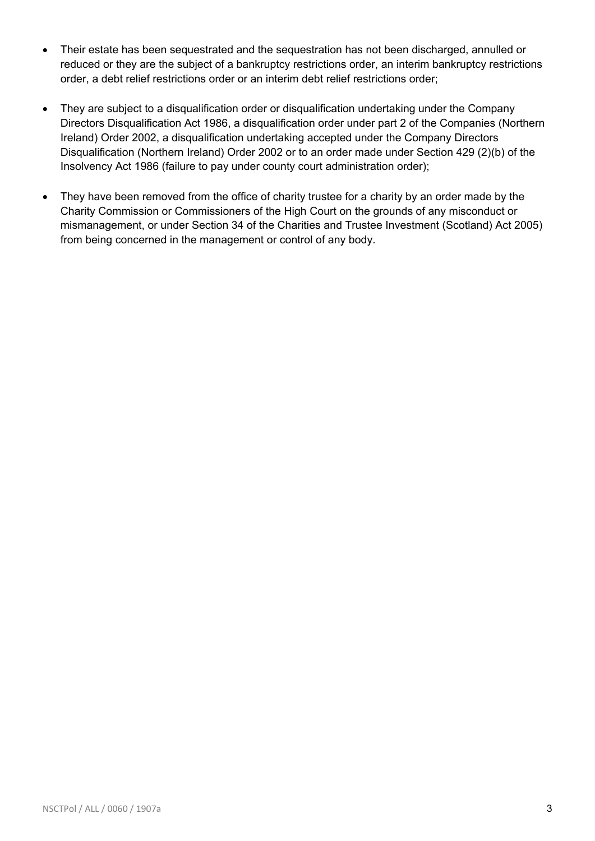- Their estate has been sequestrated and the sequestration has not been discharged, annulled or reduced or they are the subject of a bankruptcy restrictions order, an interim bankruptcy restrictions order, a debt relief restrictions order or an interim debt relief restrictions order;
- They are subject to a disqualification order or disqualification undertaking under the Company Directors Disqualification Act 1986, a disqualification order under part 2 of the Companies (Northern Ireland) Order 2002, a disqualification undertaking accepted under the Company Directors Disqualification (Northern Ireland) Order 2002 or to an order made under Section 429 (2)(b) of the Insolvency Act 1986 (failure to pay under county court administration order);
- They have been removed from the office of charity trustee for a charity by an order made by the Charity Commission or Commissioners of the High Court on the grounds of any misconduct or mismanagement, or under Section 34 of the Charities and Trustee Investment (Scotland) Act 2005) from being concerned in the management or control of any body.